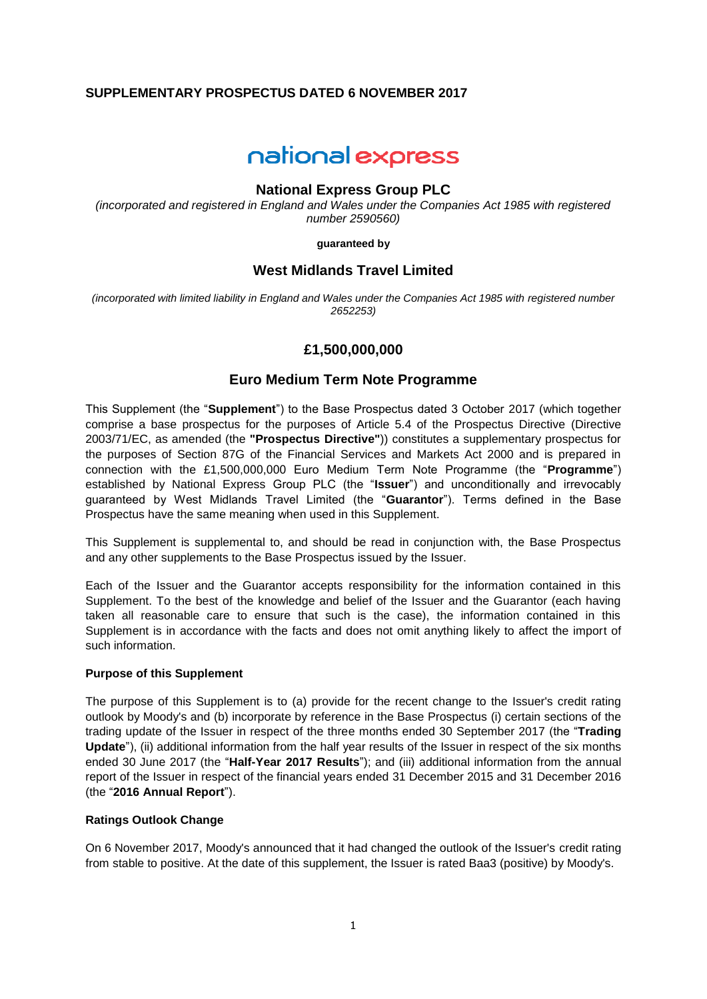# **SUPPLEMENTARY PROSPECTUS DATED 6 NOVEMBER 2017**

# national express

## **National Express Group PLC**

*(incorporated and registered in England and Wales under the Companies Act 1985 with registered number 2590560)*

**guaranteed by**

# **West Midlands Travel Limited**

*(incorporated with limited liability in England and Wales under the Companies Act 1985 with registered number 2652253)*

# **£1,500,000,000**

## **Euro Medium Term Note Programme**

This Supplement (the "**Supplement**") to the Base Prospectus dated 3 October 2017 (which together comprise a base prospectus for the purposes of Article 5.4 of the Prospectus Directive (Directive 2003/71/EC, as amended (the **"Prospectus Directive"**)) constitutes a supplementary prospectus for the purposes of Section 87G of the Financial Services and Markets Act 2000 and is prepared in connection with the £1,500,000,000 Euro Medium Term Note Programme (the "**Programme**") established by National Express Group PLC (the "**Issuer**") and unconditionally and irrevocably guaranteed by West Midlands Travel Limited (the "**Guarantor**"). Terms defined in the Base Prospectus have the same meaning when used in this Supplement.

This Supplement is supplemental to, and should be read in conjunction with, the Base Prospectus and any other supplements to the Base Prospectus issued by the Issuer.

Each of the Issuer and the Guarantor accepts responsibility for the information contained in this Supplement. To the best of the knowledge and belief of the Issuer and the Guarantor (each having taken all reasonable care to ensure that such is the case), the information contained in this Supplement is in accordance with the facts and does not omit anything likely to affect the import of such information.

#### **Purpose of this Supplement**

The purpose of this Supplement is to (a) provide for the recent change to the Issuer's credit rating outlook by Moody's and (b) incorporate by reference in the Base Prospectus (i) certain sections of the trading update of the Issuer in respect of the three months ended 30 September 2017 (the "**Trading Update**"), (ii) additional information from the half year results of the Issuer in respect of the six months ended 30 June 2017 (the "**Half-Year 2017 Results**"); and (iii) additional information from the annual report of the Issuer in respect of the financial years ended 31 December 2015 and 31 December 2016 (the "**2016 Annual Report**").

## **Ratings Outlook Change**

On 6 November 2017, Moody's announced that it had changed the outlook of the Issuer's credit rating from stable to positive. At the date of this supplement, the Issuer is rated Baa3 (positive) by Moody's.